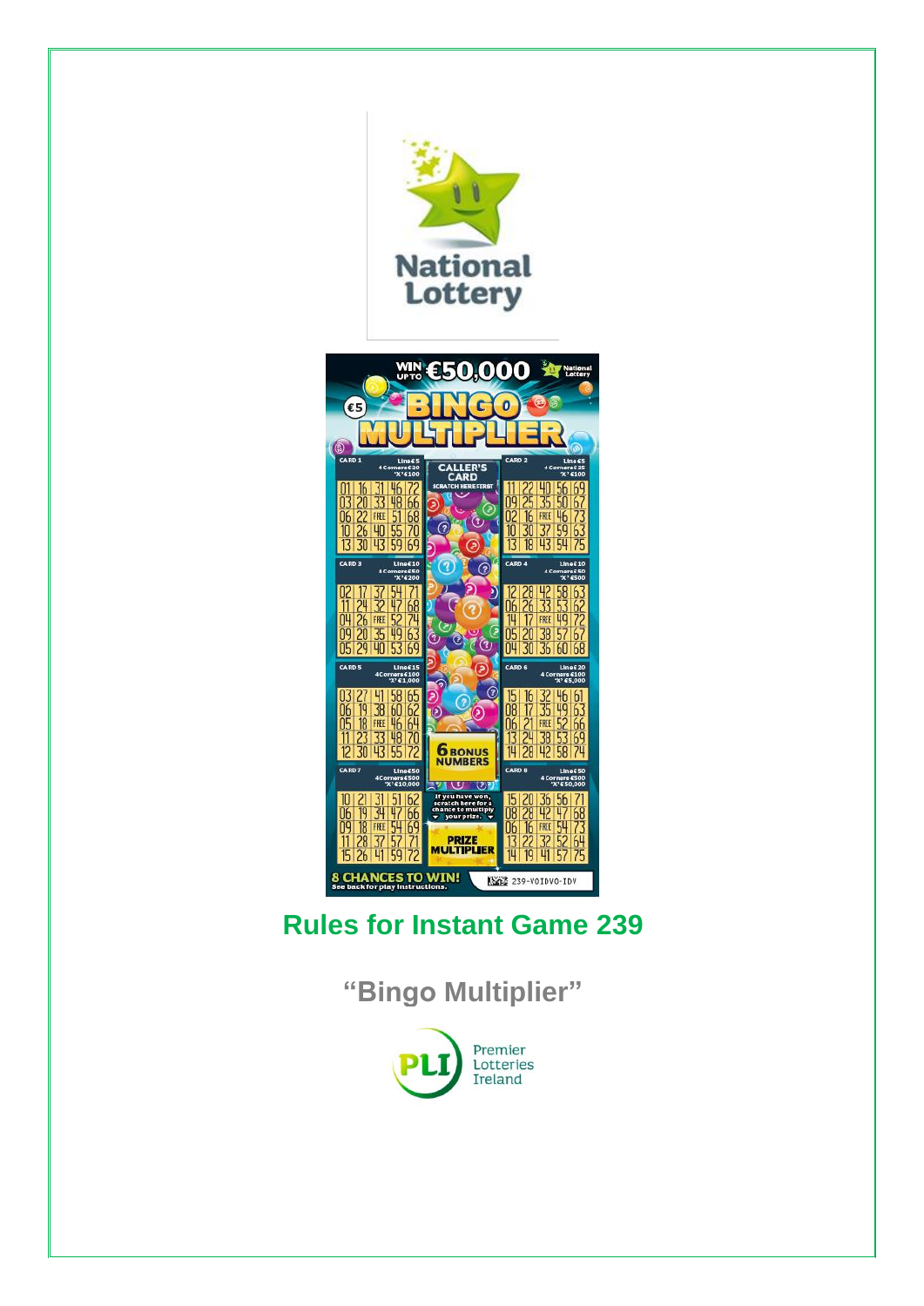



# **Rules for Instant Game 239**

**"Bingo Multiplier"**

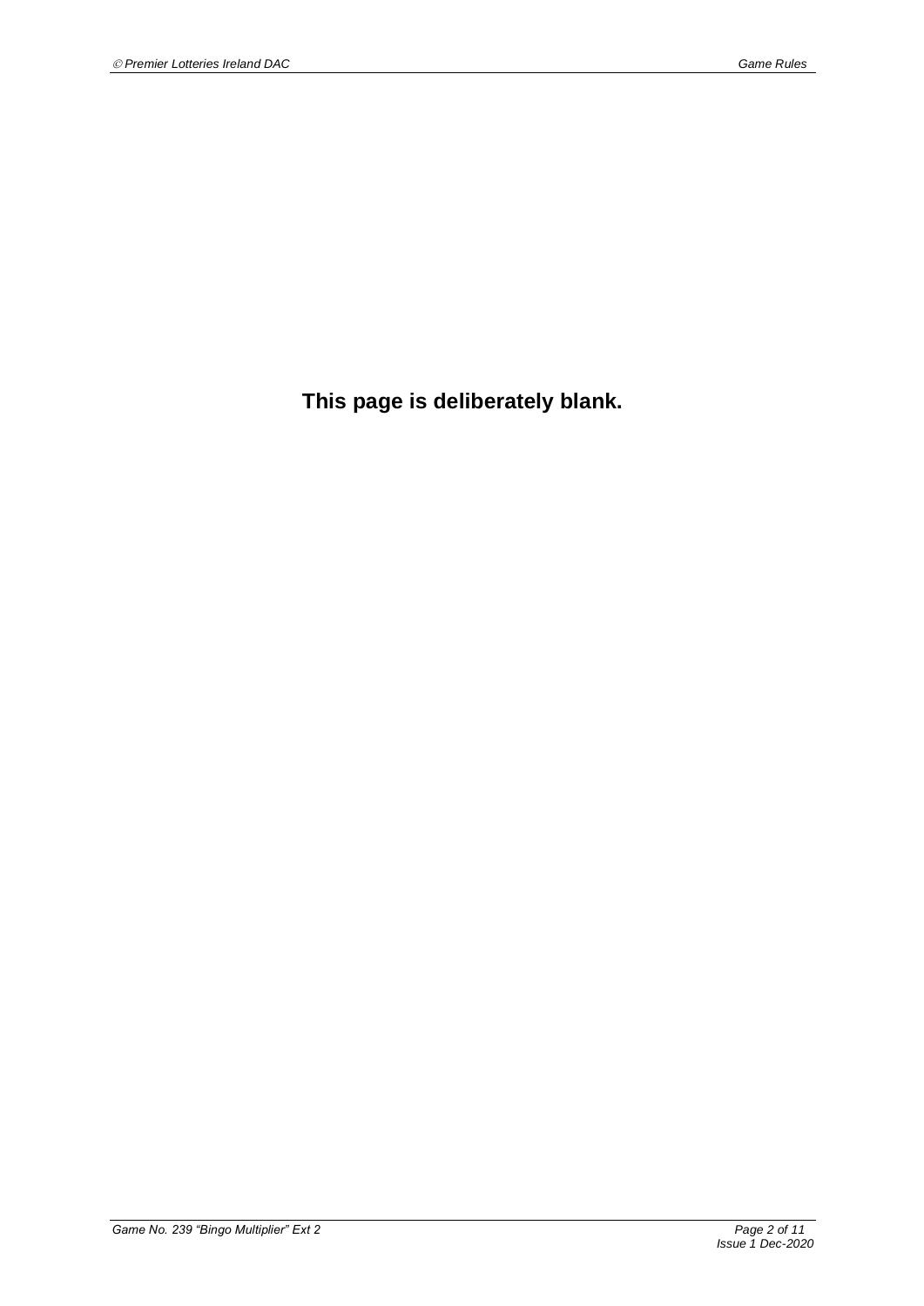**This page is deliberately blank.**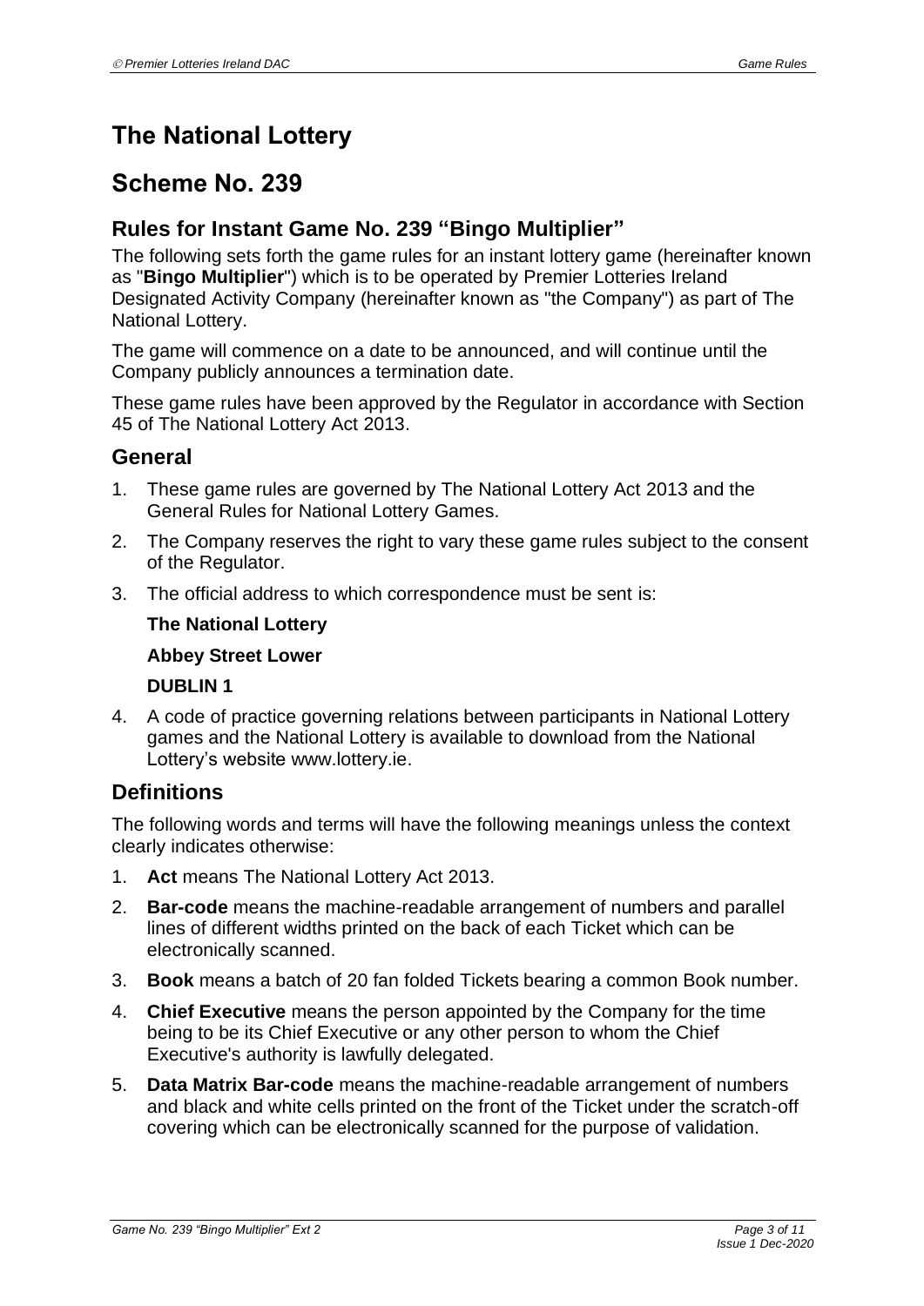# **The National Lottery**

# **Scheme No. 239**

#### **Rules for Instant Game No. 239 "Bingo Multiplier"**

The following sets forth the game rules for an instant lottery game (hereinafter known as "**Bingo Multiplier**") which is to be operated by Premier Lotteries Ireland Designated Activity Company (hereinafter known as "the Company") as part of The National Lottery.

The game will commence on a date to be announced, and will continue until the Company publicly announces a termination date.

These game rules have been approved by the Regulator in accordance with Section 45 of The National Lottery Act 2013.

#### **General**

- 1. These game rules are governed by The National Lottery Act 2013 and the General Rules for National Lottery Games.
- 2. The Company reserves the right to vary these game rules subject to the consent of the Regulator.
- 3. The official address to which correspondence must be sent is:

#### **The National Lottery**

**Abbey Street Lower DUBLIN 1**

4. A code of practice governing relations between participants in National Lottery games and the National Lottery is available to download from the National Lottery's website [www.lottery.ie.](http://www.lottery.ie/)

#### **Definitions**

The following words and terms will have the following meanings unless the context clearly indicates otherwise:

- 1. **Act** means The National Lottery Act 2013.
- 2. **Bar-code** means the machine-readable arrangement of numbers and parallel lines of different widths printed on the back of each Ticket which can be electronically scanned.
- 3. **Book** means a batch of 20 fan folded Tickets bearing a common Book number.
- 4. **Chief Executive** means the person appointed by the Company for the time being to be its Chief Executive or any other person to whom the Chief Executive's authority is lawfully delegated.
- 5. **Data Matrix Bar-code** means the machine-readable arrangement of numbers and black and white cells printed on the front of the Ticket under the scratch-off covering which can be electronically scanned for the purpose of validation.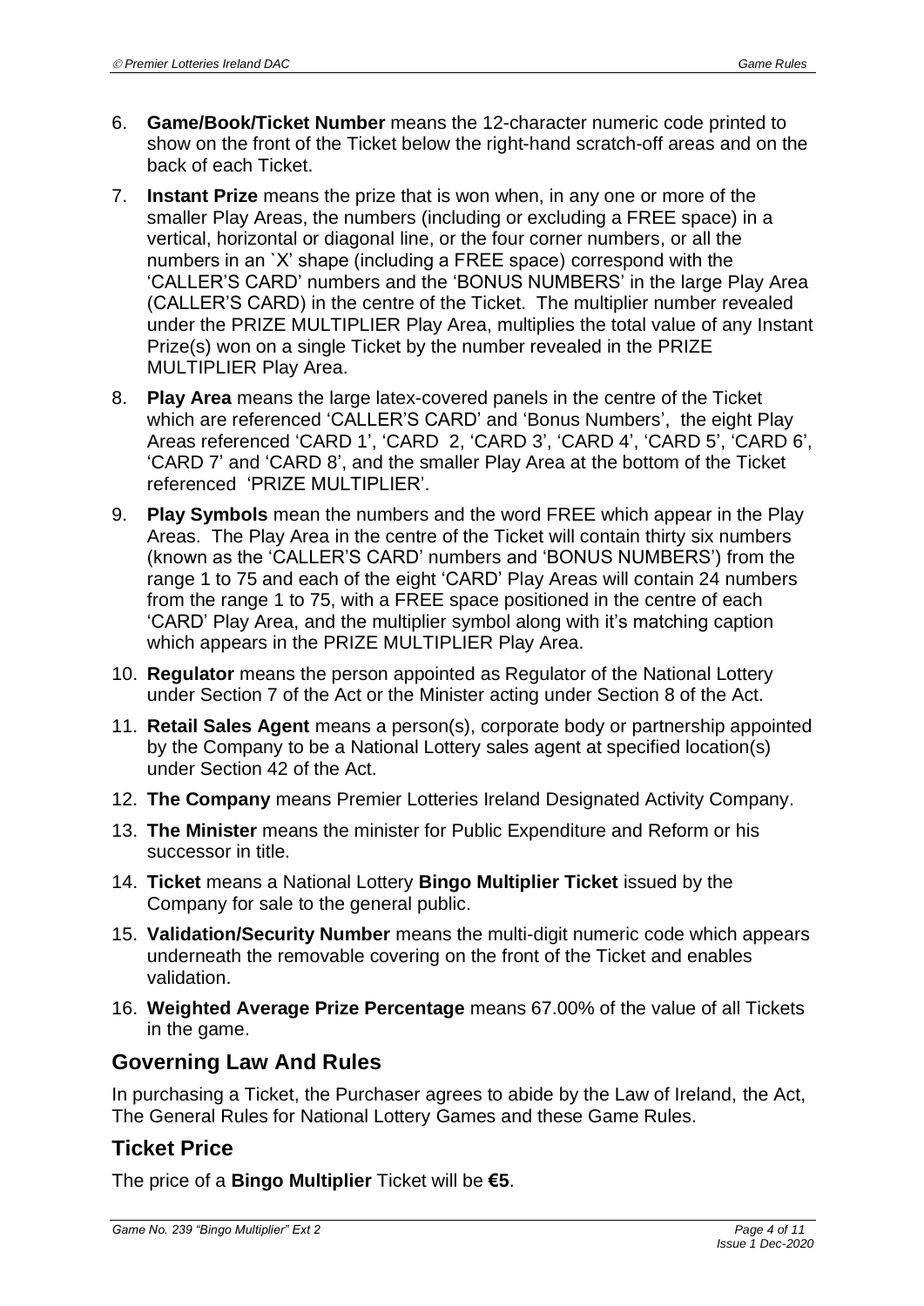- 6. **Game/Book/Ticket Number** means the 12-character numeric code printed to show on the front of the Ticket below the right-hand scratch-off areas and on the back of each Ticket.
- 7. **Instant Prize** means the prize that is won when, in any one or more of the smaller Play Areas, the numbers (including or excluding a FREE space) in a vertical, horizontal or diagonal line, or the four corner numbers, or all the numbers in an `X' shape (including a FREE space) correspond with the 'CALLER'S CARD' numbers and the 'BONUS NUMBERS' in the large Play Area (CALLER'S CARD) in the centre of the Ticket. The multiplier number revealed under the PRIZE MULTIPLIER Play Area, multiplies the total value of any Instant Prize(s) won on a single Ticket by the number revealed in the PRIZE MULTIPLIER Play Area.
- 8. **Play Area** means the large latex-covered panels in the centre of the Ticket which are referenced 'CALLER'S CARD' and 'Bonus Numbers', the eight Play Areas referenced 'CARD 1', 'CARD 2, 'CARD 3', 'CARD 4', 'CARD 5', 'CARD 6', 'CARD 7' and 'CARD 8', and the smaller Play Area at the bottom of the Ticket referenced 'PRIZE MULTIPLIER'.
- 9. **Play Symbols** mean the numbers and the word FREE which appear in the Play Areas. The Play Area in the centre of the Ticket will contain thirty six numbers (known as the 'CALLER'S CARD' numbers and 'BONUS NUMBERS') from the range 1 to 75 and each of the eight 'CARD' Play Areas will contain 24 numbers from the range 1 to 75, with a FREE space positioned in the centre of each 'CARD' Play Area, and the multiplier symbol along with it's matching caption which appears in the PRIZE MULTIPLIER Play Area.
- 10. **Regulator** means the person appointed as Regulator of the National Lottery under Section 7 of the Act or the Minister acting under Section 8 of the Act.
- 11. **Retail Sales Agent** means a person(s), corporate body or partnership appointed by the Company to be a National Lottery sales agent at specified location(s) under Section 42 of the Act.
- 12. **The Company** means Premier Lotteries Ireland Designated Activity Company.
- 13. **The Minister** means the minister for Public Expenditure and Reform or his successor in title.
- 14. **Ticket** means a National Lottery **Bingo Multiplier Ticket** issued by the Company for sale to the general public.
- 15. **Validation/Security Number** means the multi-digit numeric code which appears underneath the removable covering on the front of the Ticket and enables validation.
- 16. **Weighted Average Prize Percentage** means 67.00% of the value of all Tickets in the game.

#### **Governing Law And Rules**

In purchasing a Ticket, the Purchaser agrees to abide by the Law of Ireland, the Act, The General Rules for National Lottery Games and these Game Rules.

#### **Ticket Price**

The price of a **Bingo Multiplier** Ticket will be **€5**.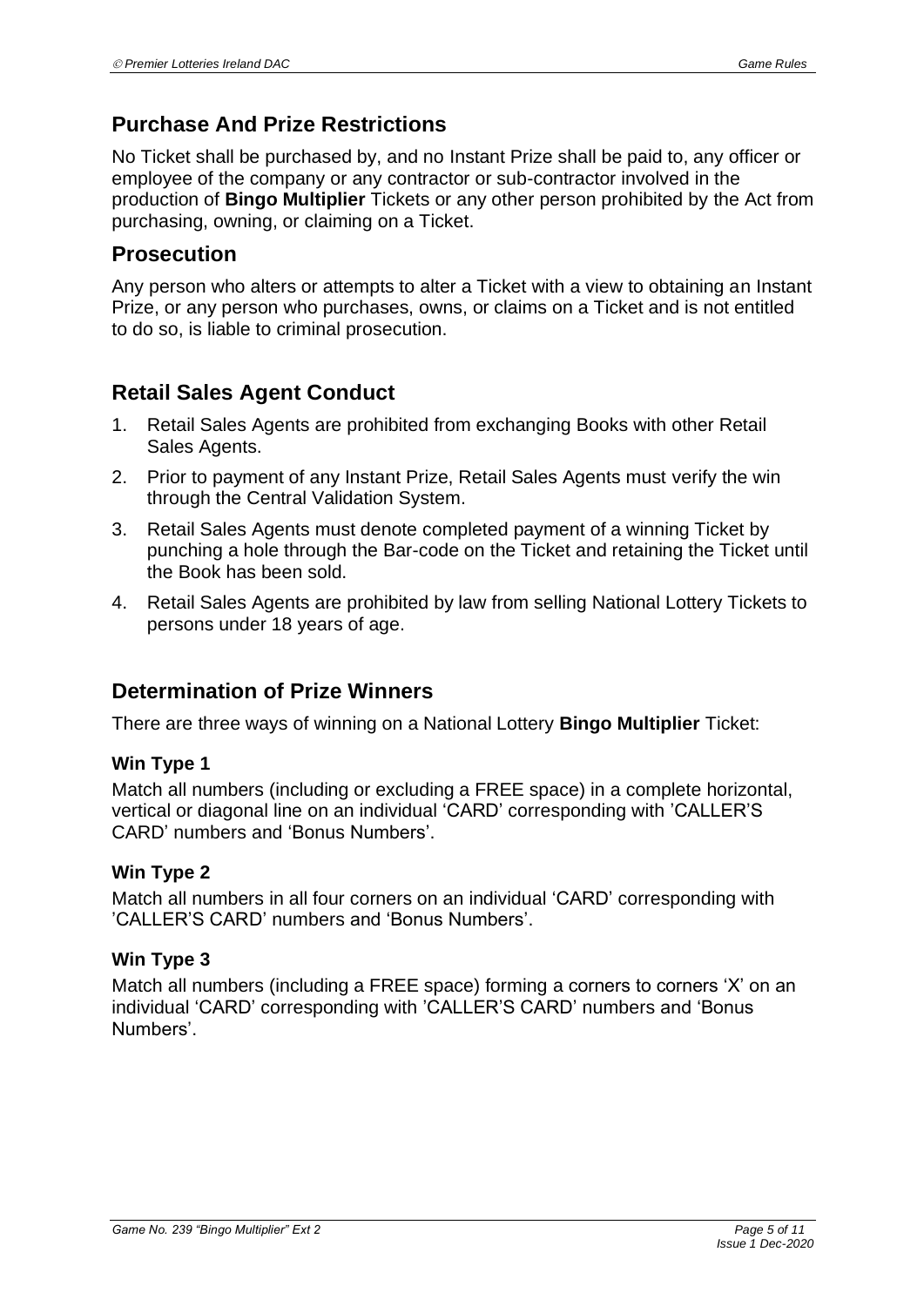# **Purchase And Prize Restrictions**

No Ticket shall be purchased by, and no Instant Prize shall be paid to, any officer or employee of the company or any contractor or sub-contractor involved in the production of **Bingo Multiplier** Tickets or any other person prohibited by the Act from purchasing, owning, or claiming on a Ticket.

#### **Prosecution**

Any person who alters or attempts to alter a Ticket with a view to obtaining an Instant Prize, or any person who purchases, owns, or claims on a Ticket and is not entitled to do so, is liable to criminal prosecution.

#### **Retail Sales Agent Conduct**

- 1. Retail Sales Agents are prohibited from exchanging Books with other Retail Sales Agents.
- 2. Prior to payment of any Instant Prize, Retail Sales Agents must verify the win through the Central Validation System.
- 3. Retail Sales Agents must denote completed payment of a winning Ticket by punching a hole through the Bar-code on the Ticket and retaining the Ticket until the Book has been sold.
- 4. Retail Sales Agents are prohibited by law from selling National Lottery Tickets to persons under 18 years of age.

#### **Determination of Prize Winners**

There are three ways of winning on a National Lottery **Bingo Multiplier** Ticket:

#### **Win Type 1**

Match all numbers (including or excluding a FREE space) in a complete horizontal, vertical or diagonal line on an individual 'CARD' corresponding with 'CALLER'S CARD' numbers and 'Bonus Numbers'.

#### **Win Type 2**

Match all numbers in all four corners on an individual 'CARD' corresponding with 'CALLER'S CARD' numbers and 'Bonus Numbers'.

#### **Win Type 3**

Match all numbers (including a FREE space) forming a corners to corners 'X' on an individual 'CARD' corresponding with 'CALLER'S CARD' numbers and 'Bonus Numbers'.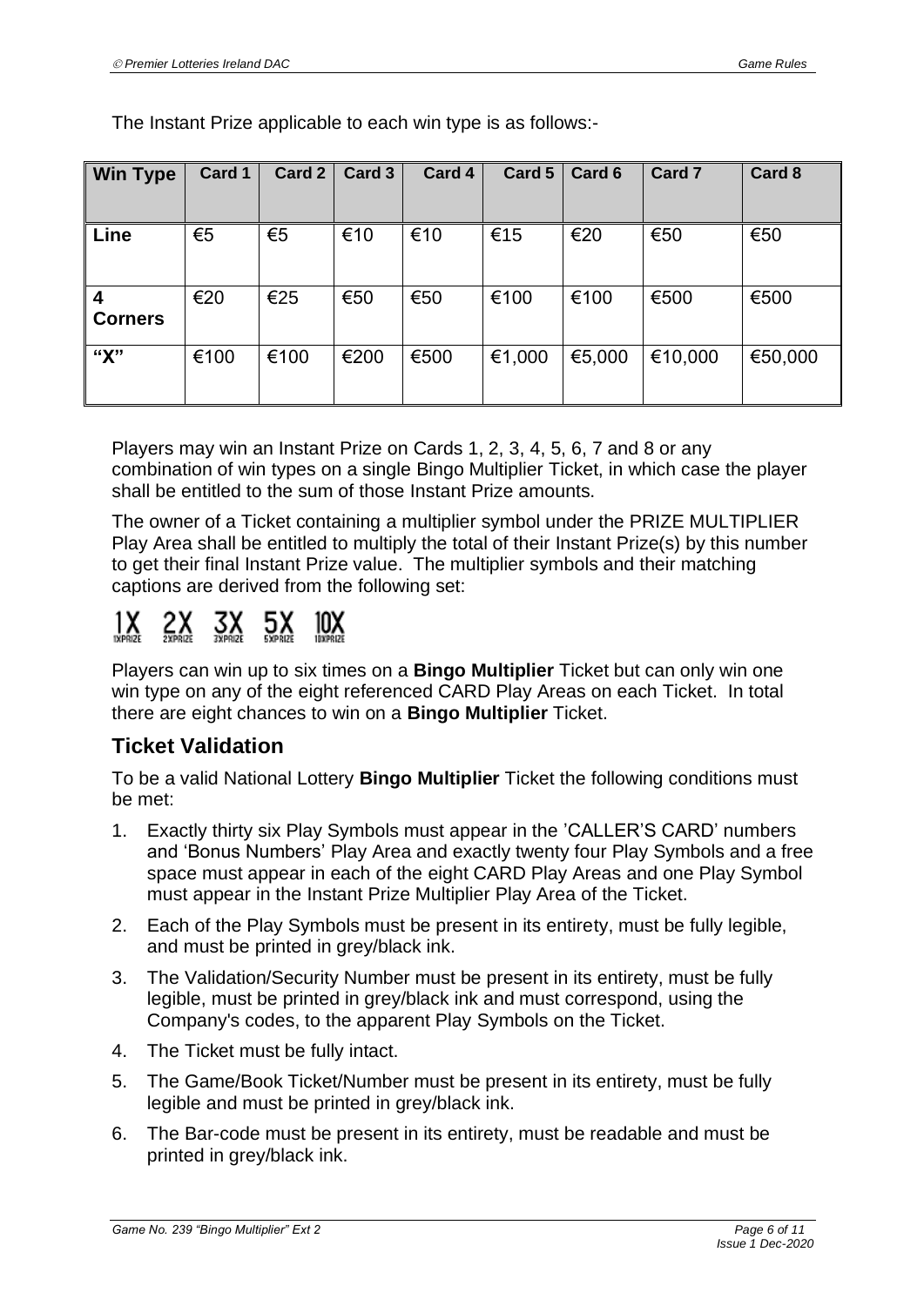The Instant Prize applicable to each win type is as follows:-

| <b>Win Type</b> | Card 1 | Card 2 | Card 3 | Card 4 | Card 5 | Card 6 | Card 7  | Card 8  |
|-----------------|--------|--------|--------|--------|--------|--------|---------|---------|
|                 |        |        |        |        |        |        |         |         |
| Line            | €5     | €5     | €10    | €10    | €15    | €20    | €50     | €50     |
|                 |        |        |        |        |        |        |         |         |
| 4               | €20    | €25    | €50    | €50    | €100   | €100   | €500    | €500    |
| <b>Corners</b>  |        |        |        |        |        |        |         |         |
| "Х"             | €100   | €100   | €200   | €500   | €1,000 | €5,000 | €10,000 | €50,000 |
|                 |        |        |        |        |        |        |         |         |

Players may win an Instant Prize on Cards 1, 2, 3, 4, 5, 6, 7 and 8 or any combination of win types on a single Bingo Multiplier Ticket, in which case the player shall be entitled to the sum of those Instant Prize amounts.

The owner of a Ticket containing a multiplier symbol under the PRIZE MULTIPLIER Play Area shall be entitled to multiply the total of their Instant Prize(s) by this number to get their final Instant Prize value. The multiplier symbols and their matching captions are derived from the following set:

#### 5X 10X 1X 2X 3X

Players can win up to six times on a **Bingo Multiplier** Ticket but can only win one win type on any of the eight referenced CARD Play Areas on each Ticket. In total there are eight chances to win on a **Bingo Multiplier** Ticket.

#### **Ticket Validation**

To be a valid National Lottery **Bingo Multiplier** Ticket the following conditions must be met:

- 1. Exactly thirty six Play Symbols must appear in the 'CALLER'S CARD' numbers and 'Bonus Numbers' Play Area and exactly twenty four Play Symbols and a free space must appear in each of the eight CARD Play Areas and one Play Symbol must appear in the Instant Prize Multiplier Play Area of the Ticket.
- 2. Each of the Play Symbols must be present in its entirety, must be fully legible, and must be printed in grey/black ink.
- 3. The Validation/Security Number must be present in its entirety, must be fully legible, must be printed in grey/black ink and must correspond, using the Company's codes, to the apparent Play Symbols on the Ticket.
- 4. The Ticket must be fully intact.
- 5. The Game/Book Ticket/Number must be present in its entirety, must be fully legible and must be printed in grey/black ink.
- 6. The Bar-code must be present in its entirety, must be readable and must be printed in grey/black ink.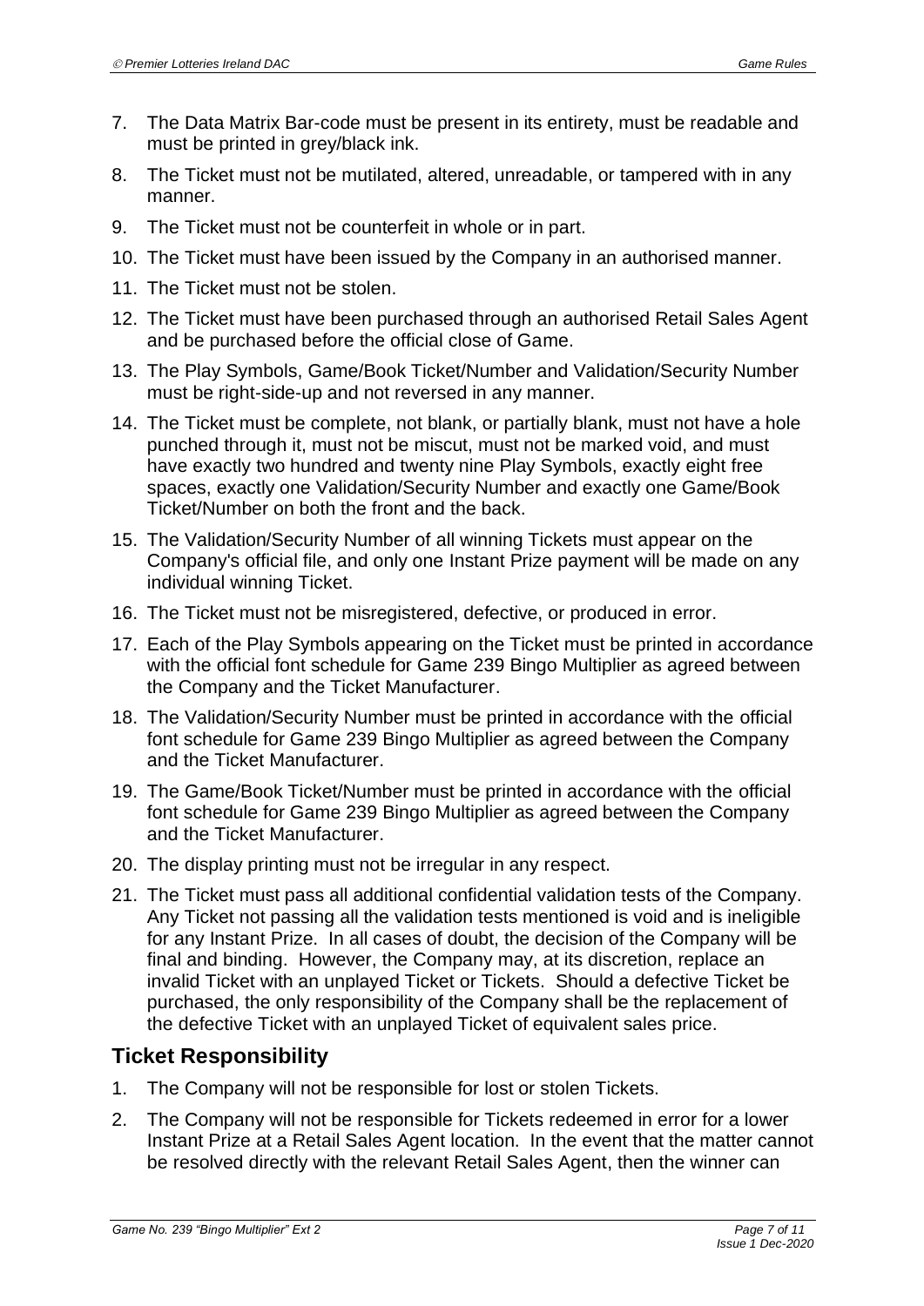- 7. The Data Matrix Bar-code must be present in its entirety, must be readable and must be printed in grey/black ink.
- 8. The Ticket must not be mutilated, altered, unreadable, or tampered with in any manner.
- 9. The Ticket must not be counterfeit in whole or in part.
- 10. The Ticket must have been issued by the Company in an authorised manner.
- 11. The Ticket must not be stolen.
- 12. The Ticket must have been purchased through an authorised Retail Sales Agent and be purchased before the official close of Game.
- 13. The Play Symbols, Game/Book Ticket/Number and Validation/Security Number must be right-side-up and not reversed in any manner.
- 14. The Ticket must be complete, not blank, or partially blank, must not have a hole punched through it, must not be miscut, must not be marked void, and must have exactly two hundred and twenty nine Play Symbols, exactly eight free spaces, exactly one Validation/Security Number and exactly one Game/Book Ticket/Number on both the front and the back.
- 15. The Validation/Security Number of all winning Tickets must appear on the Company's official file, and only one Instant Prize payment will be made on any individual winning Ticket.
- 16. The Ticket must not be misregistered, defective, or produced in error.
- 17. Each of the Play Symbols appearing on the Ticket must be printed in accordance with the official font schedule for Game 239 Bingo Multiplier as agreed between the Company and the Ticket Manufacturer.
- 18. The Validation/Security Number must be printed in accordance with the official font schedule for Game 239 Bingo Multiplier as agreed between the Company and the Ticket Manufacturer.
- 19. The Game/Book Ticket/Number must be printed in accordance with the official font schedule for Game 239 Bingo Multiplier as agreed between the Company and the Ticket Manufacturer.
- 20. The display printing must not be irregular in any respect.
- 21. The Ticket must pass all additional confidential validation tests of the Company. Any Ticket not passing all the validation tests mentioned is void and is ineligible for any Instant Prize. In all cases of doubt, the decision of the Company will be final and binding. However, the Company may, at its discretion, replace an invalid Ticket with an unplayed Ticket or Tickets. Should a defective Ticket be purchased, the only responsibility of the Company shall be the replacement of the defective Ticket with an unplayed Ticket of equivalent sales price.

#### **Ticket Responsibility**

- 1. The Company will not be responsible for lost or stolen Tickets.
- 2. The Company will not be responsible for Tickets redeemed in error for a lower Instant Prize at a Retail Sales Agent location. In the event that the matter cannot be resolved directly with the relevant Retail Sales Agent, then the winner can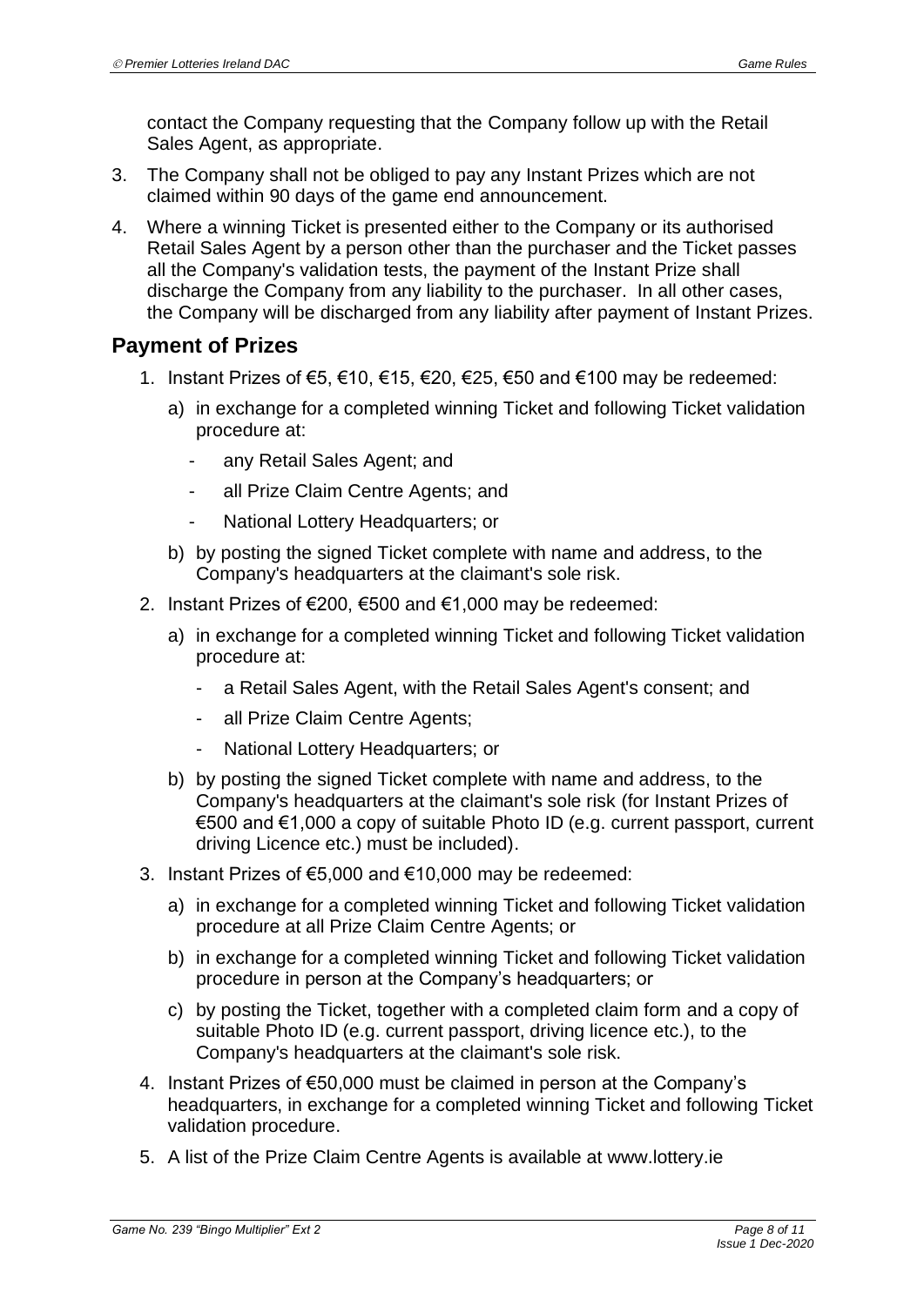contact the Company requesting that the Company follow up with the Retail Sales Agent, as appropriate.

- 3. The Company shall not be obliged to pay any Instant Prizes which are not claimed within 90 days of the game end announcement.
- 4. Where a winning Ticket is presented either to the Company or its authorised Retail Sales Agent by a person other than the purchaser and the Ticket passes all the Company's validation tests, the payment of the Instant Prize shall discharge the Company from any liability to the purchaser. In all other cases, the Company will be discharged from any liability after payment of Instant Prizes.

## **Payment of Prizes**

- 1. Instant Prizes of €5, €10, €15, €20, €25, €50 and €100 may be redeemed:
	- a) in exchange for a completed winning Ticket and following Ticket validation procedure at:
		- any Retail Sales Agent; and
		- all Prize Claim Centre Agents; and
		- National Lottery Headquarters; or
	- b) by posting the signed Ticket complete with name and address, to the Company's headquarters at the claimant's sole risk.
- 2. Instant Prizes of €200, €500 and €1,000 may be redeemed:
	- a) in exchange for a completed winning Ticket and following Ticket validation procedure at:
		- a Retail Sales Agent, with the Retail Sales Agent's consent; and
		- all Prize Claim Centre Agents;
		- National Lottery Headquarters; or
	- b) by posting the signed Ticket complete with name and address, to the Company's headquarters at the claimant's sole risk (for Instant Prizes of €500 and €1,000 a copy of suitable Photo ID (e.g. current passport, current driving Licence etc.) must be included).
- 3. Instant Prizes of €5,000 and €10,000 may be redeemed:
	- a) in exchange for a completed winning Ticket and following Ticket validation procedure at all Prize Claim Centre Agents; or
	- b) in exchange for a completed winning Ticket and following Ticket validation procedure in person at the Company's headquarters; or
	- c) by posting the Ticket, together with a completed claim form and a copy of suitable Photo ID (e.g. current passport, driving licence etc.), to the Company's headquarters at the claimant's sole risk.
- 4. Instant Prizes of €50,000 must be claimed in person at the Company's headquarters, in exchange for a completed winning Ticket and following Ticket validation procedure.
- 5. A list of the Prize Claim Centre Agents is available at www.lottery.ie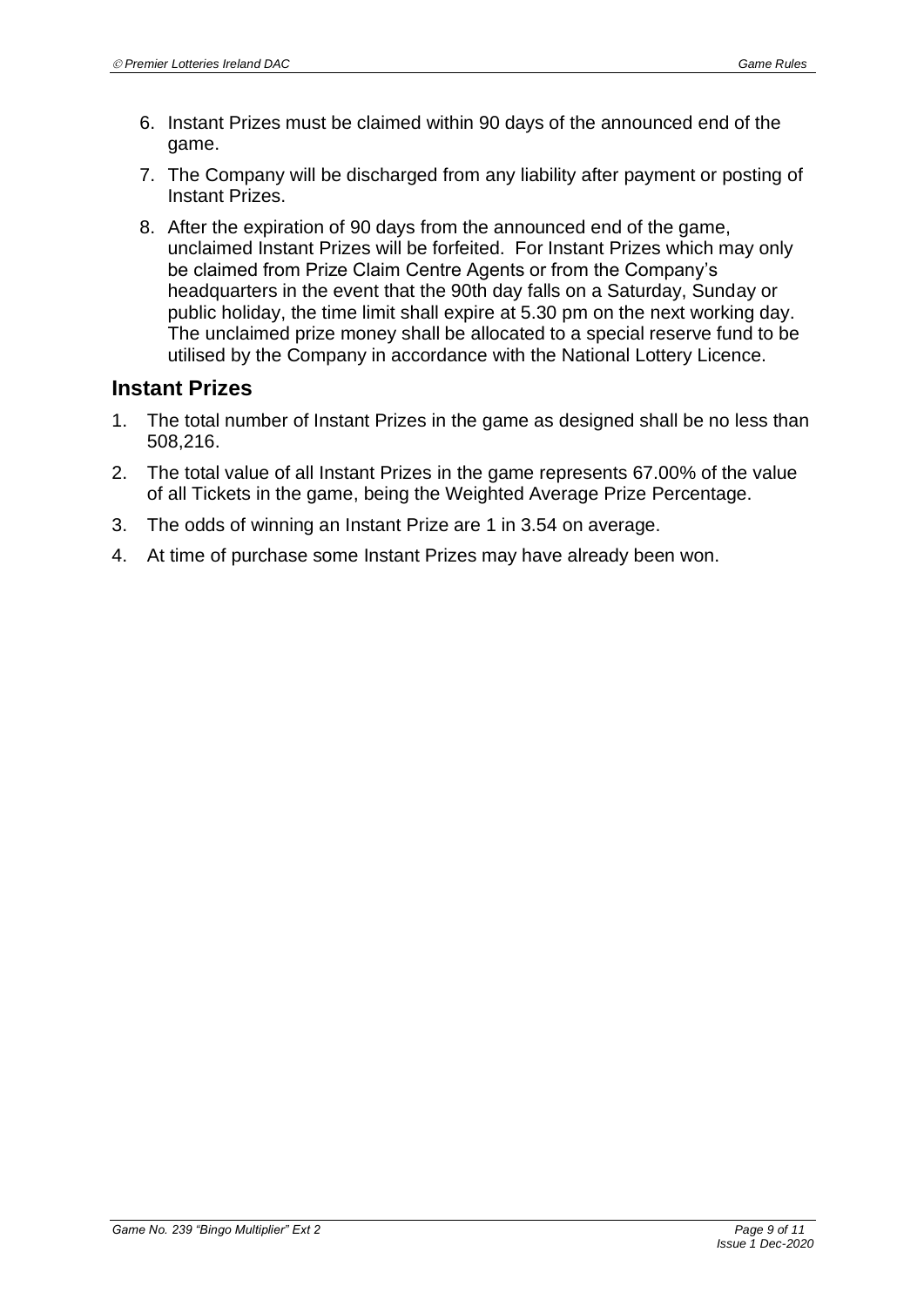- 6. Instant Prizes must be claimed within 90 days of the announced end of the game.
- 7. The Company will be discharged from any liability after payment or posting of Instant Prizes.
- 8. After the expiration of 90 days from the announced end of the game, unclaimed Instant Prizes will be forfeited. For Instant Prizes which may only be claimed from Prize Claim Centre Agents or from the Company's headquarters in the event that the 90th day falls on a Saturday, Sunday or public holiday, the time limit shall expire at 5.30 pm on the next working day. The unclaimed prize money shall be allocated to a special reserve fund to be utilised by the Company in accordance with the National Lottery Licence.

#### **Instant Prizes**

- 1. The total number of Instant Prizes in the game as designed shall be no less than 508,216.
- 2. The total value of all Instant Prizes in the game represents 67.00% of the value of all Tickets in the game, being the Weighted Average Prize Percentage.
- 3. The odds of winning an Instant Prize are 1 in 3.54 on average.
- 4. At time of purchase some Instant Prizes may have already been won.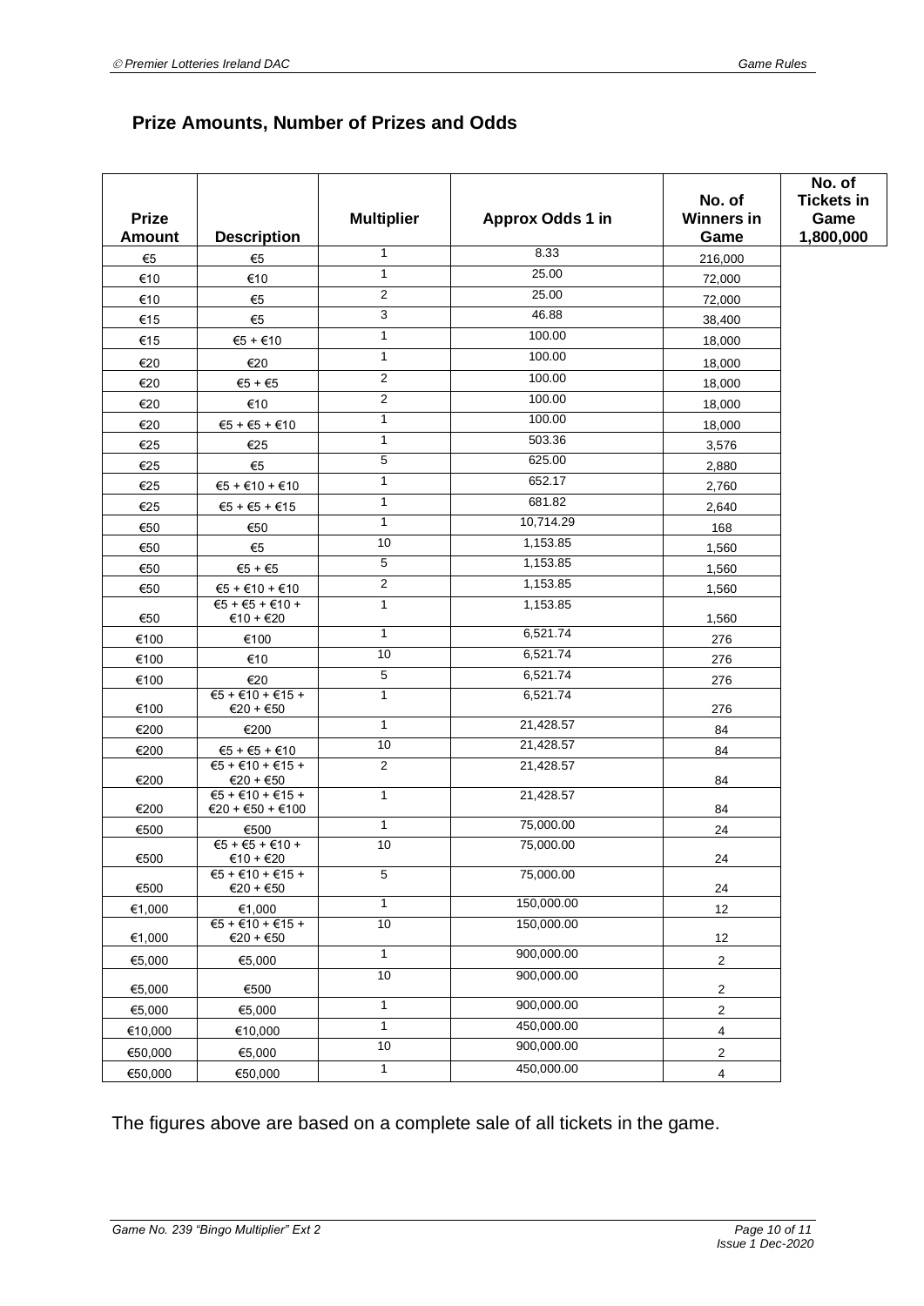#### **Prize Amounts, Number of Prizes and Odds**

|                               |                                      |                         |                  | No. of                    | No. of<br><b>Tickets in</b> |
|-------------------------------|--------------------------------------|-------------------------|------------------|---------------------------|-----------------------------|
| <b>Prize</b><br><b>Amount</b> | <b>Description</b>                   | <b>Multiplier</b>       | Approx Odds 1 in | <b>Winners in</b><br>Game | Game<br>1,800,000           |
| €5                            | €5                                   | $\mathbf{1}$            | 8.33             | 216,000                   |                             |
| €10                           | €10                                  | $\mathbf{1}$            | 25.00            | 72,000                    |                             |
| €10                           | €5                                   | 2                       | 25.00            | 72,000                    |                             |
| €15                           | $\in\! 5$                            | $\mathbf{3}$            | 46.88            | 38,400                    |                             |
| €15                           | €5 + €10                             | $\mathbf{1}$            | 100.00           | 18,000                    |                             |
| €20                           | €20                                  | $\mathbf{1}$            | 100.00           | 18,000                    |                             |
| €20                           | €5 + €5                              | 2                       | 100.00           | 18,000                    |                             |
| €20                           | €10                                  | $\overline{2}$          | 100.00           | 18,000                    |                             |
| €20                           | €5 + €5 + €10                        | $\mathbf{1}$            | 100.00           | 18,000                    |                             |
| €25                           | €25                                  | $\mathbf{1}$            | 503.36           | 3,576                     |                             |
| €25                           | €5                                   | 5                       | 625.00           | 2,880                     |                             |
| €25                           | €5 + €10 + €10                       | $\mathbf{1}$            | 652.17           | 2,760                     |                             |
| €25                           | $€5 + €5 + €15$                      | $\mathbf{1}$            | 681.82           | 2,640                     |                             |
| €50                           | €50                                  | $\mathbf{1}$            | 10,714.29        | 168                       |                             |
| €50                           | €5                                   | 10                      | 1,153.85         | 1,560                     |                             |
| €50                           | €5 + €5                              | 5                       | 1,153.85         | 1,560                     |                             |
| €50                           | €5 + €10 + €10                       | $\overline{\mathbf{c}}$ | 1,153.85         | 1,560                     |                             |
| €50                           | $€5 + €5 + €10 +$<br>€10 + €20       | $\mathbf{1}$            | 1,153.85         | 1,560                     |                             |
| €100                          | €100                                 | $\mathbf{1}$            | 6,521.74         | 276                       |                             |
| €100                          | €10                                  | 10                      | 6,521.74         | 276                       |                             |
| €100                          | €20                                  | 5                       | 6,521.74         | 276                       |                             |
| €100                          | €5 + €10 + €15 +<br>€20 + €50        | $\mathbf{1}$            | 6,521.74         | 276                       |                             |
| €200                          | €200                                 | $\mathbf{1}$            | 21,428.57        | 84                        |                             |
| €200                          | €5 + €5 + €10                        | 10                      | 21,428.57        | 84                        |                             |
| €200                          | €5 + €10 + €15 +<br>€20 + €50        | $\overline{2}$          | 21,428.57        | 84                        |                             |
| €200                          | €5 + €10 + €15 +<br>€20 + €50 + €100 | $\mathbf{1}$            | 21,428.57        | 84                        |                             |
| €500                          | €500                                 | $\mathbf{1}$            | 75,000.00        | 24                        |                             |
| €500                          | $€5 + €5 + €10 +$<br>€10 + €20       | 10                      | 75,000.00        | 24                        |                             |
| €500                          | $€5 + €10 + €15 +$<br>€20 + €50      | 5                       | 75,000.00        | 24                        |                             |
| €1,000                        | €1,000                               | $\mathbf{1}$            | 150,000.00       | 12                        |                             |
| €1,000                        | €5 + €10 + €15 +<br>€20 + €50        | 10                      | 150,000.00       | 12                        |                             |
| €5,000                        | €5,000                               | $\mathbf{1}$            | 900,000.00       | $\overline{c}$            |                             |
| €5,000                        | €500                                 | 10                      | 900,000.00       | $\overline{c}$            |                             |
| €5,000                        | €5,000                               | $\mathbf{1}$            | 900,000.00       | $\overline{c}$            |                             |
| €10,000                       | €10,000                              | $\mathbf{1}$            | 450,000.00       | $\overline{\mathbf{4}}$   |                             |
| €50,000                       | €5,000                               | 10                      | 900,000.00       | $\mathbf 2$               |                             |
| €50,000                       | €50,000                              | $\mathbf{1}$            | 450,000.00       | $\overline{4}$            |                             |

The figures above are based on a complete sale of all tickets in the game.